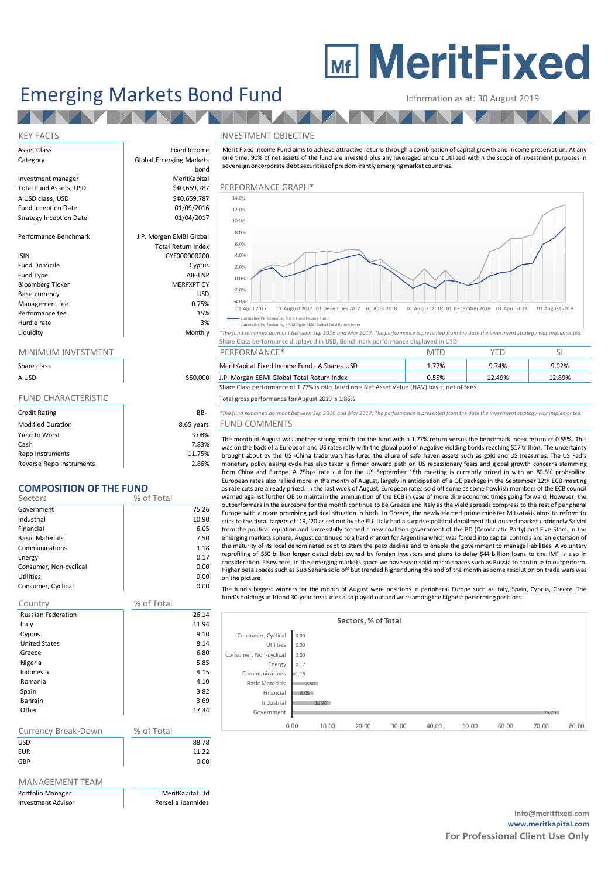# **MEDITY MeritFixed**

## Emerging Markets Bond Fund Information as at: 30 August 2019

Fixed Income

KEY FACTS INVESTMENT OBJECTIVE

| Asset Class |  |
|-------------|--|
| Category    |  |

## Investment manager MeritKapital A USD class, USD<br>
Fund Inception Date<br>
01/09/2016 Fund Inception Date<br>
Strategy Inception Date<br>
01/04/2017 Strategy Inception Date

Performance Benchmark J.P. Morgan EMBI Global

| <b>ISIN</b>             | CYF000000200      |
|-------------------------|-------------------|
| <b>Fund Domicile</b>    | Cyprus            |
| Fund Type               | AIF-LNP           |
| <b>Bloomberg Ticker</b> | <b>MERFXPT CY</b> |
| Base currency           | <b>USD</b>        |
| Management fee          | 0.75%             |
| Performance fee         | 15%               |
| Hurdle rate             | 3%                |
| vtihiuni I              | Monthly           |

| Share class |  |
|-------------|--|
| A USD       |  |

| <b>Credit Rating</b>     | BB-        |
|--------------------------|------------|
| <b>Modified Duration</b> | 8.65 years |
| Yield to Worst           | 3.08%      |
| Cash                     | 7.83%      |
| Repo Instruments         | $-11.75%$  |
| Reverse Repo Instruments | 2.86%      |

### **COMPOSITION OF THE FUND**

| Sectors                | % of Total |
|------------------------|------------|
| Government             | 75.26      |
| Industrial             | 10.90      |
| Financial              | 6.05       |
| <b>Basic Materials</b> | 7.50       |
| Communications         | 1.18       |
| Energy                 | 0.17       |
| Consumer, Non-cyclical | 0.00       |
| Utilities              | 0.00       |
| Consumer, Cyclical     | 0.00       |

| Country                   | % of Total |       |
|---------------------------|------------|-------|
| <b>Russian Federation</b> |            | 26.14 |
| Italy                     |            | 11.94 |
| Cyprus                    |            | 9.10  |
| <b>United States</b>      |            | 8.14  |
| Greece                    |            | 6.80  |
| Nigeria                   |            | 5.85  |
| Indonesia                 |            | 4.15  |
| Romania                   |            | 4.10  |
| Spain                     |            | 3.82  |
| Bahrain                   |            | 3.69  |
| Other                     |            | 17.34 |
|                           |            |       |
| Currency Break-Down       | % of Total |       |

| <b>USD</b> | 88.78 |
|------------|-------|
| <b>EUR</b> | 11.22 |
| GBP        | 0.00  |
|            |       |

### MANAGEMENT TEAM

Portfolio Manager **MeritKapital Ltd** Investment Advisor **Persella Ioannides** 



e Merit Fixed In

**Conting the fund remained dormant between Sep 2016 and Mar 2017.** The performance is presented from the date the investment strategy was implemented. Share Class performance displayed in USD, Benchmark performance displayed in USD

| Share class |          | <b>Shares USD</b><br>MeritKapital Fixed Income Fund - A ' | 770<br>1.7770 | 9.74%  | പ റാമ<br>J.UZ% |  |
|-------------|----------|-----------------------------------------------------------|---------------|--------|----------------|--|
| a usd       | \$50,000 | J.P. Morgan EBMI Global Total Return Index                | $0.55\%$      | 12.49% | 2.89%          |  |

Share Class performance of 1.77% is calculated on a Net Asset Value (NAV) basis, net of fees.

### FUND CHARACTERISTIC TOTAL TOTAL TOTAL TOTAL TOTAL GENERAL GENERAL STATES TO THE RESERVE TO THE TOTAL TO THE RESERVE TO THE RESERVE TO THE RESERVE TO THE RESERVE TO THE RESERVE TO THE RESERVE TO THE RESERVE TO THE RESERVE T

Credit Rating BB- *\*The fund remained dormant between Sep 2016 and Mar 2017. The performance is presented from the date the investment strategy was implemented.* FUND COMMENTS

The month of August was another strong month for the fund with a 1.77% return versus the benchmark index return of 0.55%. This was on the back of a European and US rates rally with the global pool of negative yielding bonds reaching \$17 trillion. The uncertainty brought about by the US -China trade wars has lured the allure of safe haven assets such as gold and US treasuries. The US Fed's monetary policy easing cycle has also taken a firmer onward path on US recessionary fears and global growth concerns stemming from China and Europe. A 25bps rate cut for the US September 18th meeting is currently priced in with an 80.5% probability.<br>European rates also rallied more in the month of August, largely in anticipation of a QE package i EUND COIMMENTS<br>The month of August was another strong month for the fund with a 1.77% return versus the benchmark index return of 0.55%. This<br>was on the back of a European and US rates rally with the global pool of negativ as rate cuts are already priced. In the last week of August, European rates sold off some as some hawkish members of the ECB council<br>warned against further QE to maintain the ammunition of the ECB in case of more dire econ The month of August was another strong month for the fund with a 1.77% return versus the benchmark index return of 0.55%. This was on the back of a European and US rates rally with the global pool of negative yielding bon Europe with a more promising political situation in both. In Greece, the newly elected prime minister Mitsotakis aims to reform to stick to the fiscal targets of '19, '20 as set out by the EU. Italy had a surprise political derailment that ousted market unfriendly Salvini<br>from the political equation and successfully formed a new coalition government o mometary polity easing cyle inas aso taket a liminer of ward part) on 'os reecssoming years and good gown to chreaming section and for a dependent and surepeon rates also ralled more in the month of August, largely in anti emerging markets sphere, August continued to a hard market for Argentina which was forced into capital controls and an extension of<br>the maturity of its local denominated debt to stem the peso decline and to enable the gove the maturity of its local denominated debt to stem the peso decline and to enable the government to manage liabilities. A voluntary<br>reprofiling of \$50 billion longer dated debt owned by foreign investors and plans to delay assue cus are areasy price in the rast week or August, curperal rases sour of some is some in swarmed against further QE to maintain the ammunition of the ECB in case of more dire economic times going forward. However, the Higher beta spaces such as Sub Sahara sold off but trended higher during the end of the month as some resolution on trade wars was on the picture. from the political equation and successfully formed a new coalition government of the PD (Democratic Party) and Five Stars. In the emerging markets sphere, August continued to a hard market for Argentina which was forced i

|                        |      |       | Sectors, % of Total |       |       |       |       |       |       |
|------------------------|------|-------|---------------------|-------|-------|-------|-------|-------|-------|
| Consumer, Cyclical     | 0.00 |       |                     |       |       |       |       |       |       |
| Utilities              | 0.00 |       |                     |       |       |       |       |       |       |
| Consumer, Non-cyclical | 0.00 |       |                     |       |       |       |       |       |       |
| Energy                 | 0.17 |       |                     |       |       |       |       |       |       |
| Communications         | 1.18 |       |                     |       |       |       |       |       |       |
| <b>Basic Materials</b> | 7.50 |       |                     |       |       |       |       |       |       |
| Financial              | 6.05 |       |                     |       |       |       |       |       |       |
| Industrial             |      | 10.90 |                     |       |       |       |       |       |       |
| Government             |      |       |                     |       |       |       |       | 75.26 |       |
|                        | 0.00 | 10.00 | 20.00               | 30.00 | 40.00 | 50.00 | 60.00 | 70.00 | 80.00 |

ce, J.P. Morgan EBMI Global Total